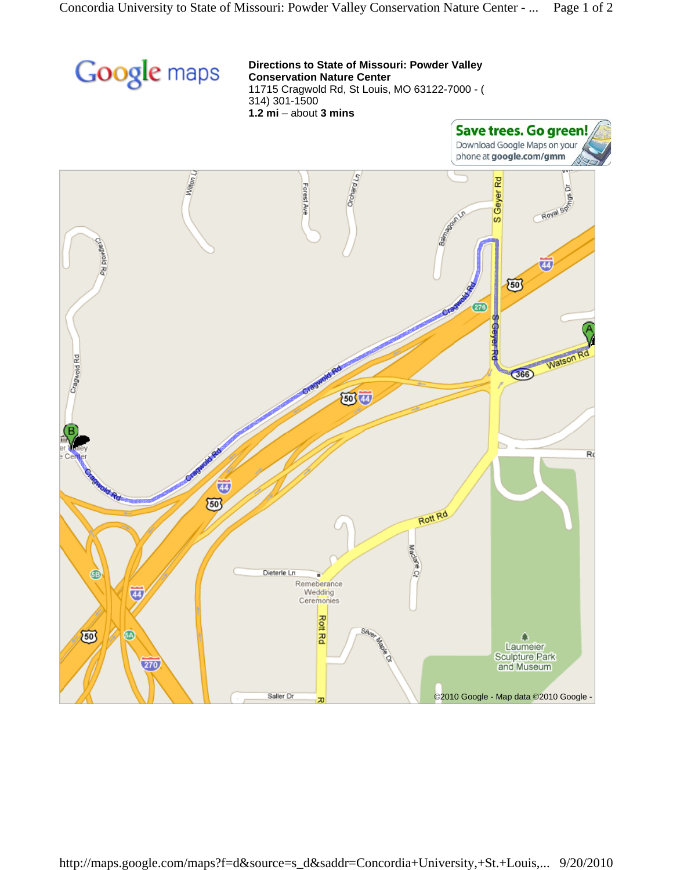